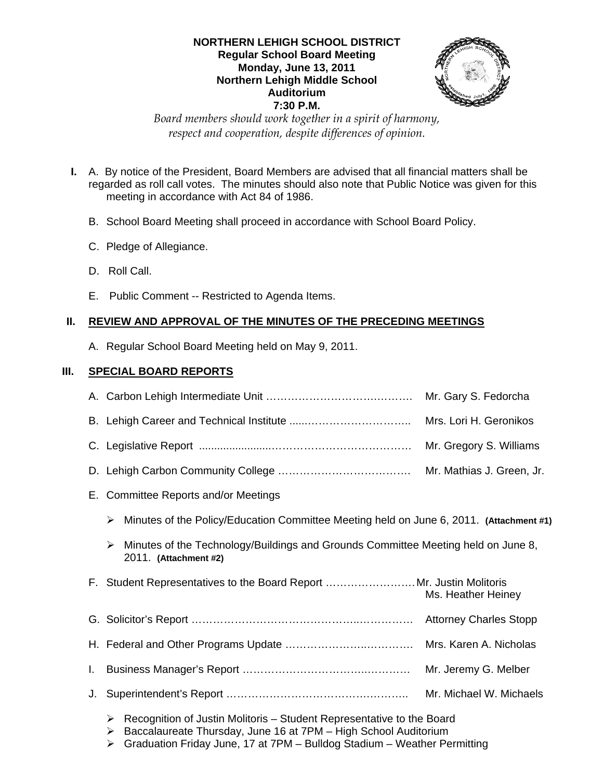#### **NORTHERN LEHIGH SCHOOL DISTRICT Regular School Board Meeting Monday, June 13, 2011 Northern Lehigh Middle School Auditorium 7:30 P.M.**



*Board members should work together in a spirit of harmony, respect and cooperation, despite differences of opinion.* 

- **I.** A. By notice of the President, Board Members are advised that all financial matters shall be regarded as roll call votes. The minutes should also note that Public Notice was given for this meeting in accordance with Act 84 of 1986.
	- B. School Board Meeting shall proceed in accordance with School Board Policy.
	- C. Pledge of Allegiance.
	- D. Roll Call.
	- E. Public Comment -- Restricted to Agenda Items.

## **II. REVIEW AND APPROVAL OF THE MINUTES OF THE PRECEDING MEETINGS**

A. Regular School Board Meeting held on May 9, 2011.

## **III. SPECIAL BOARD REPORTS**

|    |                                                                                                                 | Mr. Gary S. Fedorcha          |
|----|-----------------------------------------------------------------------------------------------------------------|-------------------------------|
|    |                                                                                                                 | Mrs. Lori H. Geronikos        |
|    |                                                                                                                 | Mr. Gregory S. Williams       |
|    |                                                                                                                 | Mr. Mathias J. Green, Jr.     |
|    | E. Committee Reports and/or Meetings                                                                            |                               |
|    | Minutes of the Policy/Education Committee Meeting held on June 6, 2011. (Attachment #1)<br>➤                    |                               |
|    | Minutes of the Technology/Buildings and Grounds Committee Meeting held on June 8,<br>≻<br>2011. (Attachment #2) |                               |
|    | F. Student Representatives to the Board Report Mr. Justin Molitoris                                             |                               |
|    |                                                                                                                 | Ms. Heather Heiney            |
|    |                                                                                                                 | <b>Attorney Charles Stopp</b> |
|    |                                                                                                                 | Mrs. Karen A. Nicholas        |
| I. |                                                                                                                 | Mr. Jeremy G. Melber          |
| J. |                                                                                                                 | Mr. Michael W. Michaels       |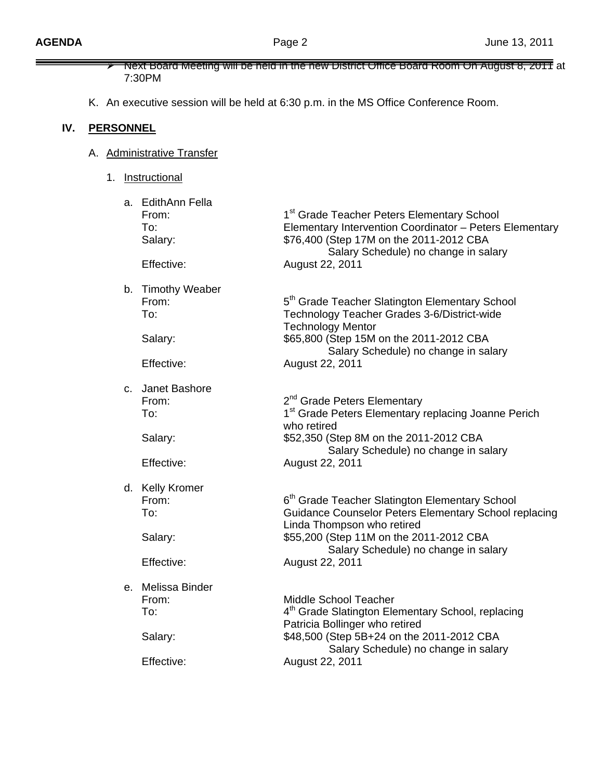|     |                  | 7:30PM                                                     | Next Board Meeting will be held in the new District Office Board Room On August 8, 2011 at                                                                                                                                                    |
|-----|------------------|------------------------------------------------------------|-----------------------------------------------------------------------------------------------------------------------------------------------------------------------------------------------------------------------------------------------|
|     |                  |                                                            | K. An executive session will be held at 6:30 p.m. in the MS Office Conference Room.                                                                                                                                                           |
| IV. | <b>PERSONNEL</b> |                                                            |                                                                                                                                                                                                                                               |
|     |                  | A. Administrative Transfer                                 |                                                                                                                                                                                                                                               |
|     | 1.               | Instructional                                              |                                                                                                                                                                                                                                               |
|     |                  | a. EdithAnn Fella<br>From:<br>To:<br>Salary:<br>Effective: | 1 <sup>st</sup> Grade Teacher Peters Elementary School<br>Elementary Intervention Coordinator - Peters Elementary<br>\$76,400 (Step 17M on the 2011-2012 CBA<br>Salary Schedule) no change in salary<br>August 22, 2011                       |
|     |                  | b. Timothy Weaber<br>From:<br>To:<br>Salary:<br>Effective: | 5 <sup>th</sup> Grade Teacher Slatington Elementary School<br>Technology Teacher Grades 3-6/District-wide<br><b>Technology Mentor</b><br>\$65,800 (Step 15M on the 2011-2012 CBA<br>Salary Schedule) no change in salary<br>August 22, 2011   |
|     |                  | c. Janet Bashore<br>From:<br>To:<br>Salary:<br>Effective:  | 2 <sup>nd</sup> Grade Peters Elementary<br>1 <sup>st</sup> Grade Peters Elementary replacing Joanne Perich<br>who retired<br>\$52,350 (Step 8M on the 2011-2012 CBA<br>Salary Schedule) no change in salary<br>August 22, 2011                |
|     |                  | d. Kelly Kromer<br>From:<br>To:<br>Salary:<br>Effective:   | $6th$ Grade Teacher Slatington Elementary School<br>Guidance Counselor Peters Elementary School replacing<br>Linda Thompson who retired<br>\$55,200 (Step 11M on the 2011-2012 CBA<br>Salary Schedule) no change in salary<br>August 22, 2011 |
|     |                  | e. Melissa Binder<br>From:<br>To:<br>Salary:<br>Effective: | Middle School Teacher<br>4 <sup>th</sup> Grade Slatington Elementary School, replacing<br>Patricia Bollinger who retired<br>\$48,500 (Step 5B+24 on the 2011-2012 CBA<br>Salary Schedule) no change in salary<br>August 22, 2011              |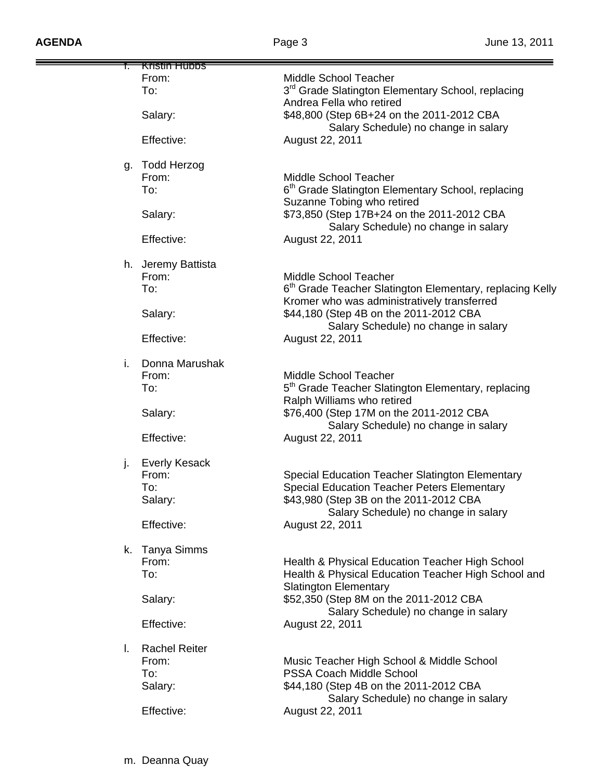|    | Kristin Hubbs        |                                                                      |
|----|----------------------|----------------------------------------------------------------------|
|    | From:                | Middle School Teacher                                                |
|    | To:                  | 3 <sup>rd</sup> Grade Slatington Elementary School, replacing        |
|    |                      | Andrea Fella who retired                                             |
|    |                      |                                                                      |
|    | Salary:              | \$48,800 (Step 6B+24 on the 2011-2012 CBA                            |
|    |                      | Salary Schedule) no change in salary                                 |
|    | Effective:           | August 22, 2011                                                      |
|    |                      |                                                                      |
|    |                      |                                                                      |
| g. | Todd Herzog          |                                                                      |
|    | From:                | Middle School Teacher                                                |
|    |                      |                                                                      |
|    | To:                  | 6 <sup>th</sup> Grade Slatington Elementary School, replacing        |
|    |                      | Suzanne Tobing who retired                                           |
|    | Salary:              | \$73,850 (Step 17B+24 on the 2011-2012 CBA                           |
|    |                      |                                                                      |
|    |                      | Salary Schedule) no change in salary                                 |
|    | Effective:           | August 22, 2011                                                      |
|    |                      |                                                                      |
|    |                      |                                                                      |
|    | h. Jeremy Battista   |                                                                      |
|    | From:                | Middle School Teacher                                                |
|    | To:                  | 6 <sup>th</sup> Grade Teacher Slatington Elementary, replacing Kelly |
|    |                      | Kromer who was administratively transferred                          |
|    |                      |                                                                      |
|    | Salary:              | \$44,180 (Step 4B on the 2011-2012 CBA                               |
|    |                      | Salary Schedule) no change in salary                                 |
|    | Effective:           | August 22, 2011                                                      |
|    |                      |                                                                      |
|    |                      |                                                                      |
| i. | Donna Marushak       |                                                                      |
|    | From:                | Middle School Teacher                                                |
|    |                      |                                                                      |
|    | To:                  | 5 <sup>th</sup> Grade Teacher Slatington Elementary, replacing       |
|    |                      | Ralph Williams who retired                                           |
|    | Salary:              | \$76,400 (Step 17M on the 2011-2012 CBA                              |
|    |                      |                                                                      |
|    |                      | Salary Schedule) no change in salary                                 |
|    | Effective:           | August 22, 2011                                                      |
|    |                      |                                                                      |
|    |                      |                                                                      |
| j. | <b>Everly Kesack</b> |                                                                      |
|    | From:                | Special Education Teacher Slatington Elementary                      |
|    | To:                  | <b>Special Education Teacher Peters Elementary</b>                   |
|    |                      | \$43,980 (Step 3B on the 2011-2012 CBA                               |
|    | Salary:              |                                                                      |
|    |                      | Salary Schedule) no change in salary                                 |
|    | Effective:           | August 22, 2011                                                      |
|    |                      |                                                                      |
|    |                      |                                                                      |
|    | k. Tanya Simms       |                                                                      |
|    | From:                | Health & Physical Education Teacher High School                      |
|    | To:                  | Health & Physical Education Teacher High School and                  |
|    |                      |                                                                      |
|    |                      | <b>Slatington Elementary</b>                                         |
|    | Salary:              | \$52,350 (Step 8M on the 2011-2012 CBA                               |
|    |                      | Salary Schedule) no change in salary                                 |
|    |                      |                                                                      |
|    | Effective:           | August 22, 2011                                                      |
|    |                      |                                                                      |
| I. | <b>Rachel Reiter</b> |                                                                      |
|    | From:                |                                                                      |
|    |                      | Music Teacher High School & Middle School                            |
|    | To:                  | PSSA Coach Middle School                                             |
|    | Salary:              | \$44,180 (Step 4B on the 2011-2012 CBA                               |
|    |                      | Salary Schedule) no change in salary                                 |
|    |                      |                                                                      |
|    | Effective:           | August 22, 2011                                                      |
|    |                      |                                                                      |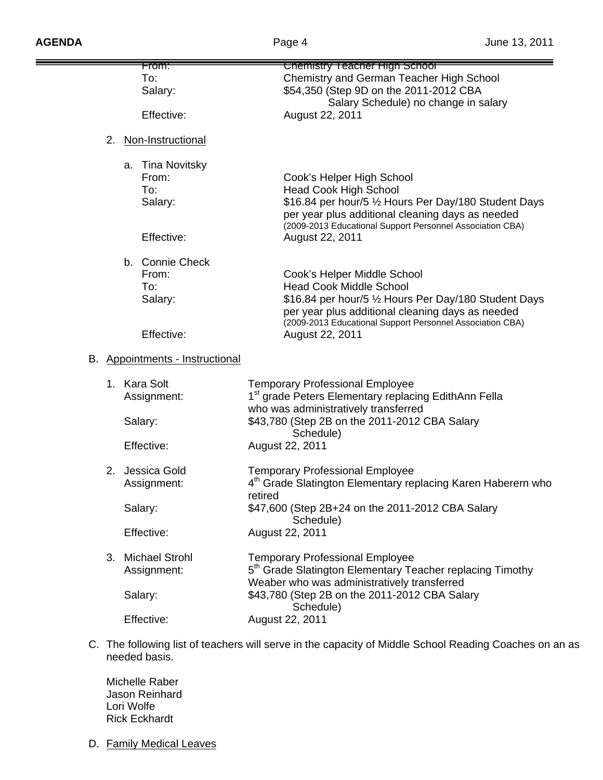|    | <del>From:</del>                | Chemistry Teacher High School                                            |
|----|---------------------------------|--------------------------------------------------------------------------|
|    | To:                             | Chemistry and German Teacher High School                                 |
|    |                                 | \$54,350 (Step 9D on the 2011-2012 CBA                                   |
|    | Salary:                         |                                                                          |
|    |                                 | Salary Schedule) no change in salary                                     |
|    | Effective:                      | August 22, 2011                                                          |
| 2. | Non-Instructional               |                                                                          |
|    |                                 |                                                                          |
|    | a. Tina Novitsky                |                                                                          |
|    | From:                           | Cook's Helper High School                                                |
|    | To:                             | <b>Head Cook High School</b>                                             |
|    | Salary:                         | \$16.84 per hour/5 1/2 Hours Per Day/180 Student Days                    |
|    |                                 | per year plus additional cleaning days as needed                         |
|    |                                 | (2009-2013 Educational Support Personnel Association CBA)                |
|    | Effective:                      | August 22, 2011                                                          |
|    |                                 |                                                                          |
|    | b. Connie Check                 |                                                                          |
|    | From:                           | Cook's Helper Middle School                                              |
|    | To:                             | <b>Head Cook Middle School</b>                                           |
|    | Salary:                         | \$16.84 per hour/5 1/2 Hours Per Day/180 Student Days                    |
|    |                                 | per year plus additional cleaning days as needed                         |
|    |                                 | (2009-2013 Educational Support Personnel Association CBA)                |
|    | Effective:                      | August 22, 2011                                                          |
|    |                                 |                                                                          |
|    | B. Appointments - Instructional |                                                                          |
|    |                                 |                                                                          |
|    | 1. Kara Solt                    | <b>Temporary Professional Employee</b>                                   |
|    | Assignment:                     | 1 <sup>st</sup> grade Peters Elementary replacing EdithAnn Fella         |
|    |                                 | who was administratively transferred                                     |
|    | Salary:                         | \$43,780 (Step 2B on the 2011-2012 CBA Salary                            |
|    |                                 | Schedule)                                                                |
|    | Effective:                      | August 22, 2011                                                          |
|    |                                 |                                                                          |
| 2. | Jessica Gold                    | <b>Temporary Professional Employee</b>                                   |
|    | Assignment:                     | 4 <sup>th</sup> Grade Slatington Elementary replacing Karen Haberern who |
|    |                                 | retired                                                                  |
|    | Salary:                         | \$47,600 (Step 2B+24 on the 2011-2012 CBA Salary                         |
|    |                                 | Schedule)                                                                |
|    | Effective:                      | August 22, 2011                                                          |
|    |                                 |                                                                          |
| 3. | <b>Michael Strohl</b>           | <b>Temporary Professional Employee</b>                                   |
|    | Assignment:                     | 5 <sup>th</sup> Grade Slatington Elementary Teacher replacing Timothy    |
|    |                                 | Weaber who was administratively transferred                              |
|    | Salary:                         | \$43,780 (Step 2B on the 2011-2012 CBA Salary                            |
|    |                                 | Schedule)                                                                |
|    | Effective:                      | August 22, 2011                                                          |

C. The following list of teachers will serve in the capacity of Middle School Reading Coaches on an as needed basis.

 Michelle Raber Jason Reinhard Lori Wolfe Rick Eckhardt

D. Family Medical Leaves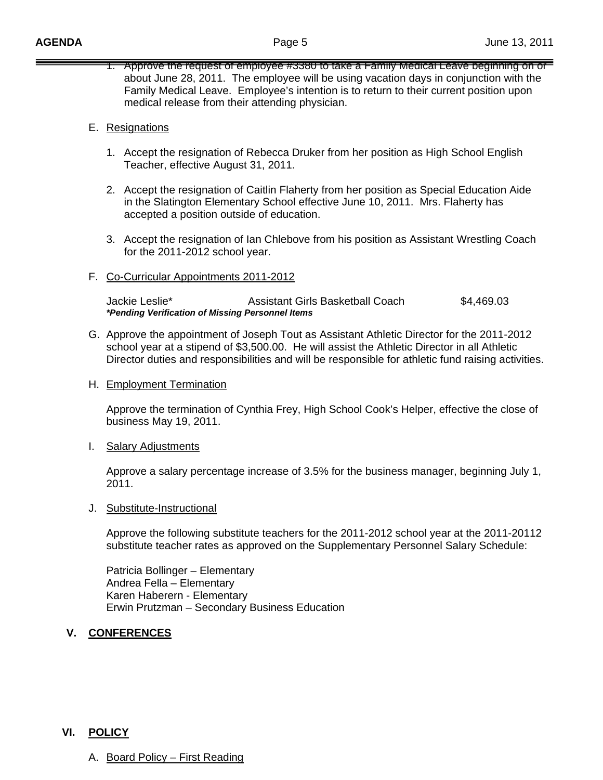1. Approve the request of employee #3380 to take a Family Medical Leave beginning on or about June 28, 2011. The employee will be using vacation days in conjunction with the Family Medical Leave. Employee's intention is to return to their current position upon medical release from their attending physician.

#### E. Resignations

- 1. Accept the resignation of Rebecca Druker from her position as High School English Teacher, effective August 31, 2011.
- 2. Accept the resignation of Caitlin Flaherty from her position as Special Education Aide in the Slatington Elementary School effective June 10, 2011. Mrs. Flaherty has accepted a position outside of education.
- 3. Accept the resignation of Ian Chlebove from his position as Assistant Wrestling Coach for the 2011-2012 school year.
- F. Co-Curricular Appointments 2011-2012

 Jackie Leslie\* Assistant Girls Basketball Coach \$4,469.03 *\*Pending Verification of Missing Personnel Items* 

- G. Approve the appointment of Joseph Tout as Assistant Athletic Director for the 2011-2012 school year at a stipend of \$3,500.00. He will assist the Athletic Director in all Athletic Director duties and responsibilities and will be responsible for athletic fund raising activities.
- H. Employment Termination

 Approve the termination of Cynthia Frey, High School Cook's Helper, effective the close of business May 19, 2011.

I. Salary Adjustments

 Approve a salary percentage increase of 3.5% for the business manager, beginning July 1, 2011.

J. Substitute-Instructional

Approve the following substitute teachers for the 2011-2012 school year at the 2011-20112 substitute teacher rates as approved on the Supplementary Personnel Salary Schedule:

Patricia Bollinger – Elementary Andrea Fella – Elementary Karen Haberern - Elementary Erwin Prutzman – Secondary Business Education

### **V. CONFERENCES**

#### **VI. POLICY**

A. Board Policy – First Reading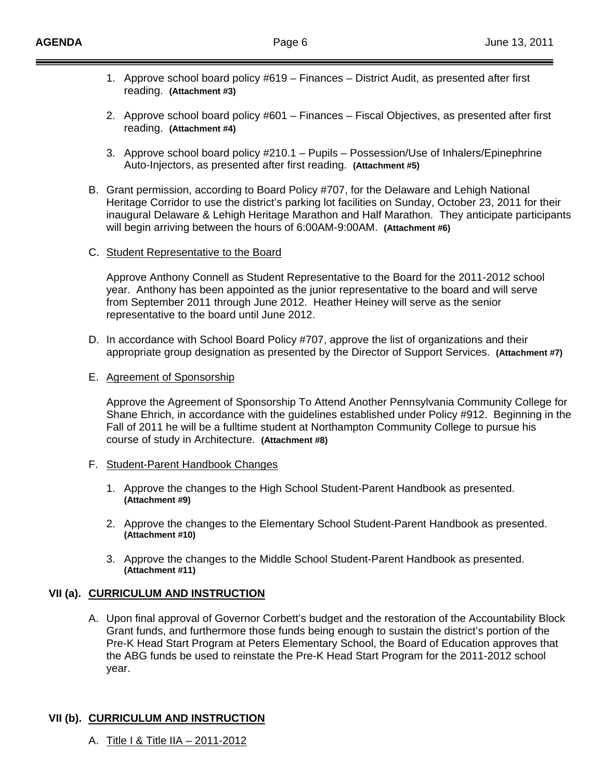- 1. Approve school board policy #619 Finances District Audit, as presented after first reading. **(Attachment #3)**
- 2. Approve school board policy #601 Finances Fiscal Objectives, as presented after first reading. **(Attachment #4)**
- 3. Approve school board policy #210.1 Pupils Possession/Use of Inhalers/Epinephrine Auto-Injectors, as presented after first reading. **(Attachment #5)**
- B. Grant permission, according to Board Policy #707, for the Delaware and Lehigh National Heritage Corridor to use the district's parking lot facilities on Sunday, October 23, 2011 for their inaugural Delaware & Lehigh Heritage Marathon and Half Marathon. They anticipate participants will begin arriving between the hours of 6:00AM-9:00AM. **(Attachment #6)**
- C. Student Representative to the Board

 Approve Anthony Connell as Student Representative to the Board for the 2011-2012 school year. Anthony has been appointed as the junior representative to the board and will serve from September 2011 through June 2012. Heather Heiney will serve as the senior representative to the board until June 2012.

- D. In accordance with School Board Policy #707, approve the list of organizations and their appropriate group designation as presented by the Director of Support Services. **(Attachment #7)**
- E. Agreement of Sponsorship

Approve the Agreement of Sponsorship To Attend Another Pennsylvania Community College for Shane Ehrich, in accordance with the guidelines established under Policy #912. Beginning in the Fall of 2011 he will be a fulltime student at Northampton Community College to pursue his course of study in Architecture. **(Attachment #8)**

- F. Student-Parent Handbook Changes
	- 1. Approve the changes to the High School Student-Parent Handbook as presented. **(Attachment #9)**
	- 2. Approve the changes to the Elementary School Student-Parent Handbook as presented. **(Attachment #10)**
	- 3. Approve the changes to the Middle School Student-Parent Handbook as presented. **(Attachment #11)**

### **VII (a). CURRICULUM AND INSTRUCTION**

A. Upon final approval of Governor Corbett's budget and the restoration of the Accountability Block Grant funds, and furthermore those funds being enough to sustain the district's portion of the Pre-K Head Start Program at Peters Elementary School, the Board of Education approves that the ABG funds be used to reinstate the Pre-K Head Start Program for the 2011-2012 school year.

# **VII (b). CURRICULUM AND INSTRUCTION**

A. Title I & Title IIA – 2011-2012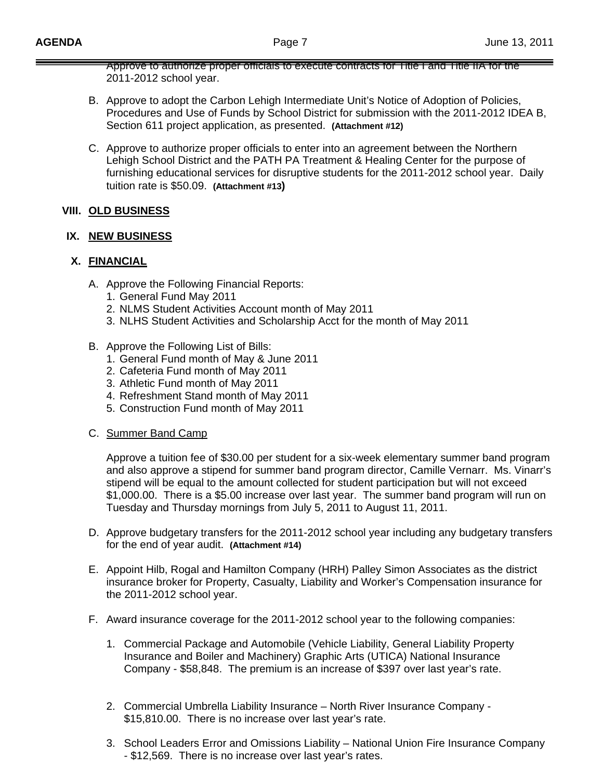Approve to authorize proper officials to execute contracts for Title I and Title IIA for the 2011-2012 school year.

- B. Approve to adopt the Carbon Lehigh Intermediate Unit's Notice of Adoption of Policies, Procedures and Use of Funds by School District for submission with the 2011-2012 IDEA B, Section 611 project application, as presented. **(Attachment #12)**
- C. Approve to authorize proper officials to enter into an agreement between the Northern Lehigh School District and the PATH PA Treatment & Healing Center for the purpose of furnishing educational services for disruptive students for the 2011-2012 school year. Daily tuition rate is \$50.09. **(Attachment #13)**

## **VIII. OLD BUSINESS**

### **IX. NEW BUSINESS**

## **X. FINANCIAL**

- A. Approve the Following Financial Reports:
	- 1. General Fund May 2011
	- 2. NLMS Student Activities Account month of May 2011
	- 3. NLHS Student Activities and Scholarship Acct for the month of May 2011
- B. Approve the Following List of Bills:
	- 1. General Fund month of May & June 2011
	- 2. Cafeteria Fund month of May 2011
	- 3. Athletic Fund month of May 2011
	- 4. Refreshment Stand month of May 2011
	- 5. Construction Fund month of May 2011
- C. Summer Band Camp

Approve a tuition fee of \$30.00 per student for a six-week elementary summer band program and also approve a stipend for summer band program director, Camille Vernarr. Ms. Vinarr's stipend will be equal to the amount collected for student participation but will not exceed \$1,000.00. There is a \$5.00 increase over last year. The summer band program will run on Tuesday and Thursday mornings from July 5, 2011 to August 11, 2011.

- D. Approve budgetary transfers for the 2011-2012 school year including any budgetary transfers for the end of year audit. **(Attachment #14)**
- E. Appoint Hilb, Rogal and Hamilton Company (HRH) Palley Simon Associates as the district insurance broker for Property, Casualty, Liability and Worker's Compensation insurance for the 2011-2012 school year.
- F. Award insurance coverage for the 2011-2012 school year to the following companies:
	- 1. Commercial Package and Automobile (Vehicle Liability, General Liability Property Insurance and Boiler and Machinery) Graphic Arts (UTICA) National Insurance Company - \$58,848. The premium is an increase of \$397 over last year's rate.
	- 2. Commercial Umbrella Liability Insurance North River Insurance Company \$15,810.00. There is no increase over last year's rate.
	- 3. School Leaders Error and Omissions Liability National Union Fire Insurance Company - \$12,569. There is no increase over last year's rates.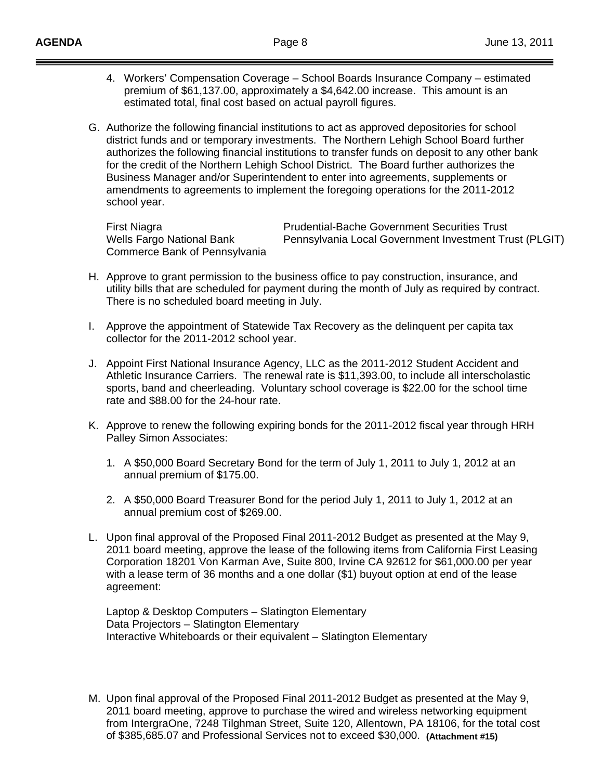- 4. Workers' Compensation Coverage School Boards Insurance Company estimated premium of \$61,137.00, approximately a \$4,642.00 increase. This amount is an estimated total, final cost based on actual payroll figures.
- G. Authorize the following financial institutions to act as approved depositories for school district funds and or temporary investments. The Northern Lehigh School Board further authorizes the following financial institutions to transfer funds on deposit to any other bank for the credit of the Northern Lehigh School District. The Board further authorizes the Business Manager and/or Superintendent to enter into agreements, supplements or amendments to agreements to implement the foregoing operations for the 2011-2012 school year.

Commerce Bank of Pennsylvania

First Niagra **Prudential-Bache Government Securities Trust**<br>
Wells Fargo National Bank **Pennsylvania Local Government Investment** Tru Pennsylvania Local Government Investment Trust (PLGIT)

- H. Approve to grant permission to the business office to pay construction, insurance, and utility bills that are scheduled for payment during the month of July as required by contract. There is no scheduled board meeting in July.
- I. Approve the appointment of Statewide Tax Recovery as the delinquent per capita tax collector for the 2011-2012 school year.
- J. Appoint First National Insurance Agency, LLC as the 2011-2012 Student Accident and Athletic Insurance Carriers. The renewal rate is \$11,393.00, to include all interscholastic sports, band and cheerleading. Voluntary school coverage is \$22.00 for the school time rate and \$88.00 for the 24-hour rate.
- K. Approve to renew the following expiring bonds for the 2011-2012 fiscal year through HRH Palley Simon Associates:
	- 1. A \$50,000 Board Secretary Bond for the term of July 1, 2011 to July 1, 2012 at an annual premium of \$175.00.
	- 2. A \$50,000 Board Treasurer Bond for the period July 1, 2011 to July 1, 2012 at an annual premium cost of \$269.00.
- L. Upon final approval of the Proposed Final 2011-2012 Budget as presented at the May 9, 2011 board meeting, approve the lease of the following items from California First Leasing Corporation 18201 Von Karman Ave, Suite 800, Irvine CA 92612 for \$61,000.00 per year with a lease term of 36 months and a one dollar (\$1) buyout option at end of the lease agreement:

 Laptop & Desktop Computers – Slatington Elementary Data Projectors – Slatington Elementary Interactive Whiteboards or their equivalent – Slatington Elementary

M. Upon final approval of the Proposed Final 2011-2012 Budget as presented at the May 9, 2011 board meeting, approve to purchase the wired and wireless networking equipment from IntergraOne, 7248 Tilghman Street, Suite 120, Allentown, PA 18106, for the total cost of \$385,685.07 and Professional Services not to exceed \$30,000. **(Attachment #15)**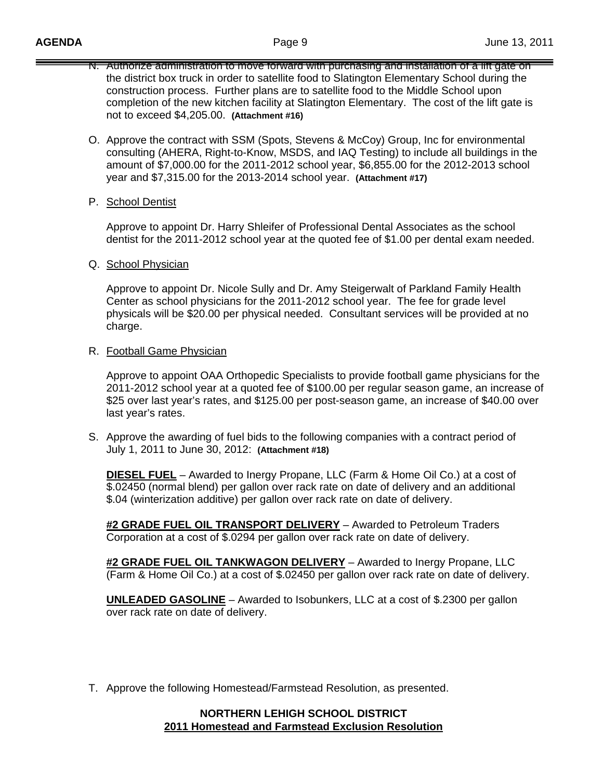- N. Authorize administration to move forward with purchasing and installation of a lift gate on the district box truck in order to satellite food to Slatington Elementary School during the construction process. Further plans are to satellite food to the Middle School upon completion of the new kitchen facility at Slatington Elementary. The cost of the lift gate is not to exceed \$4,205.00. **(Attachment #16)**
- O. Approve the contract with SSM (Spots, Stevens & McCoy) Group, Inc for environmental consulting (AHERA, Right-to-Know, MSDS, and IAQ Testing) to include all buildings in the amount of \$7,000.00 for the 2011-2012 school year, \$6,855.00 for the 2012-2013 school year and \$7,315.00 for the 2013-2014 school year. **(Attachment #17)**
- P. School Dentist

Approve to appoint Dr. Harry Shleifer of Professional Dental Associates as the school dentist for the 2011-2012 school year at the quoted fee of \$1.00 per dental exam needed.

Q. School Physician

Approve to appoint Dr. Nicole Sully and Dr. Amy Steigerwalt of Parkland Family Health Center as school physicians for the 2011-2012 school year. The fee for grade level physicals will be \$20.00 per physical needed. Consultant services will be provided at no charge.

R. Football Game Physician

Approve to appoint OAA Orthopedic Specialists to provide football game physicians for the 2011-2012 school year at a quoted fee of \$100.00 per regular season game, an increase of \$25 over last year's rates, and \$125.00 per post-season game, an increase of \$40.00 over last year's rates.

S. Approve the awarding of fuel bids to the following companies with a contract period of July 1, 2011 to June 30, 2012: **(Attachment #18)**

**DIESEL FUEL** – Awarded to Inergy Propane, LLC (Farm & Home Oil Co.) at a cost of \$.02450 (normal blend) per gallon over rack rate on date of delivery and an additional \$.04 (winterization additive) per gallon over rack rate on date of delivery.

**#2 GRADE FUEL OIL TRANSPORT DELIVERY** – Awarded to Petroleum Traders Corporation at a cost of \$.0294 per gallon over rack rate on date of delivery.

**#2 GRADE FUEL OIL TANKWAGON DELIVERY** – Awarded to Inergy Propane, LLC (Farm & Home Oil Co.) at a cost of \$.02450 per gallon over rack rate on date of delivery.

**UNLEADED GASOLINE** – Awarded to Isobunkers, LLC at a cost of \$.2300 per gallon over rack rate on date of delivery.

T. Approve the following Homestead/Farmstead Resolution, as presented.

#### **NORTHERN LEHIGH SCHOOL DISTRICT 2011 Homestead and Farmstead Exclusion Resolution**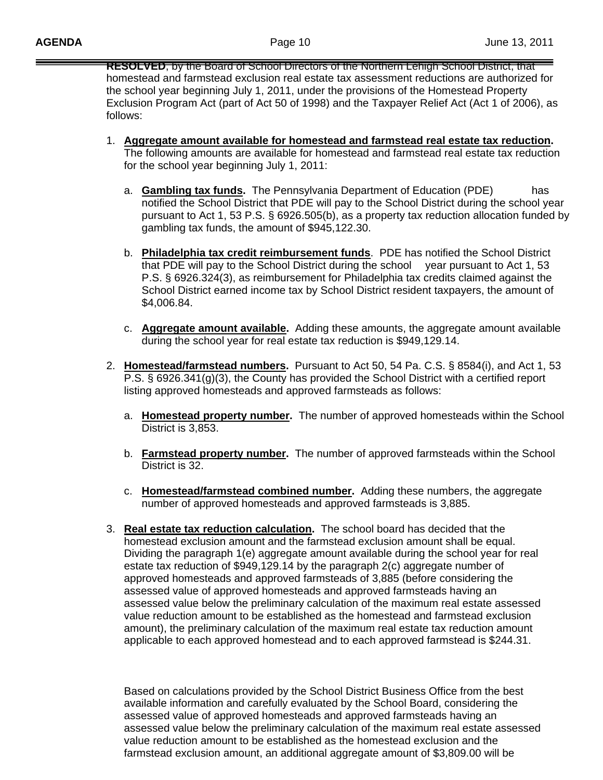**RESOLVED**, by the Board of School Directors of the Northern Lehigh School District, that homestead and farmstead exclusion real estate tax assessment reductions are authorized for the school year beginning July 1, 2011, under the provisions of the Homestead Property Exclusion Program Act (part of Act 50 of 1998) and the Taxpayer Relief Act (Act 1 of 2006), as follows:

- 1. **Aggregate amount available for homestead and farmstead real estate tax reduction.** The following amounts are available for homestead and farmstead real estate tax reduction for the school year beginning July 1, 2011:
	- a. **Gambling tax funds.** The Pennsylvania Department of Education (PDE) has notified the School District that PDE will pay to the School District during the school year pursuant to Act 1, 53 P.S. § 6926.505(b), as a property tax reduction allocation funded by gambling tax funds, the amount of \$945,122.30.
	- b. **Philadelphia tax credit reimbursement funds**. PDE has notified the School District that PDE will pay to the School District during the school year pursuant to Act 1, 53 P.S. § 6926.324(3), as reimbursement for Philadelphia tax credits claimed against the School District earned income tax by School District resident taxpayers, the amount of \$4,006.84.
	- c. **Aggregate amount available.** Adding these amounts, the aggregate amount available during the school year for real estate tax reduction is \$949,129.14.
- 2. **Homestead/farmstead numbers.** Pursuant to Act 50, 54 Pa. C.S. § 8584(i), and Act 1, 53 P.S. § 6926.341(g)(3), the County has provided the School District with a certified report listing approved homesteads and approved farmsteads as follows:
	- a. **Homestead property number.** The number of approved homesteads within the School District is 3,853.
	- b. **Farmstead property number.** The number of approved farmsteads within the School District is 32.
	- c. **Homestead/farmstead combined number.** Adding these numbers, the aggregate number of approved homesteads and approved farmsteads is 3,885.
- 3. **Real estate tax reduction calculation.** The school board has decided that the homestead exclusion amount and the farmstead exclusion amount shall be equal. Dividing the paragraph 1(e) aggregate amount available during the school year for real estate tax reduction of \$949,129.14 by the paragraph 2(c) aggregate number of approved homesteads and approved farmsteads of 3,885 (before considering the assessed value of approved homesteads and approved farmsteads having an assessed value below the preliminary calculation of the maximum real estate assessed value reduction amount to be established as the homestead and farmstead exclusion amount), the preliminary calculation of the maximum real estate tax reduction amount applicable to each approved homestead and to each approved farmstead is \$244.31.

Based on calculations provided by the School District Business Office from the best available information and carefully evaluated by the School Board, considering the assessed value of approved homesteads and approved farmsteads having an assessed value below the preliminary calculation of the maximum real estate assessed value reduction amount to be established as the homestead exclusion and the farmstead exclusion amount, an additional aggregate amount of \$3,809.00 will be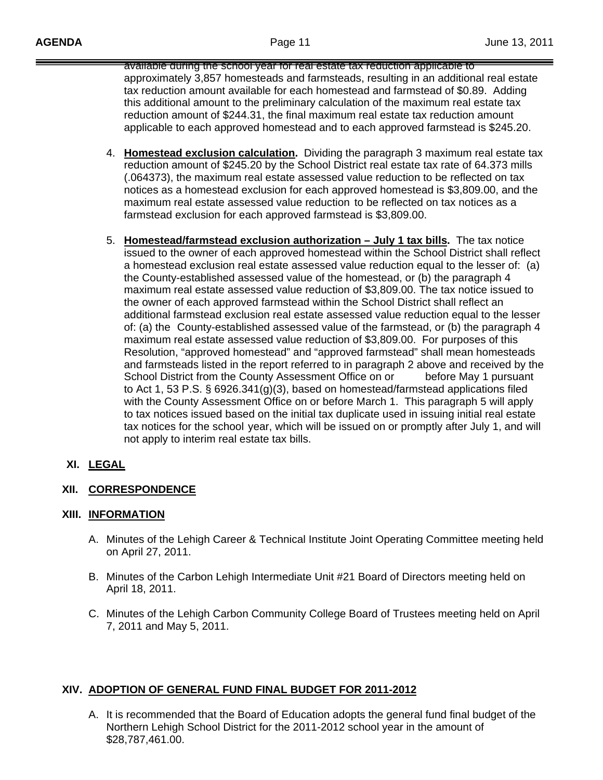available during the school year for real estate tax reduction applicable to approximately 3,857 homesteads and farmsteads, resulting in an additional real estate tax reduction amount available for each homestead and farmstead of \$0.89. Adding this additional amount to the preliminary calculation of the maximum real estate tax reduction amount of \$244.31, the final maximum real estate tax reduction amount applicable to each approved homestead and to each approved farmstead is \$245.20.

- 4. **Homestead exclusion calculation.** Dividing the paragraph 3 maximum real estate tax reduction amount of \$245.20 by the School District real estate tax rate of 64.373 mills (.064373), the maximum real estate assessed value reduction to be reflected on tax notices as a homestead exclusion for each approved homestead is \$3,809.00, and the maximum real estate assessed value reduction to be reflected on tax notices as a farmstead exclusion for each approved farmstead is \$3,809.00.
- 5. **Homestead/farmstead exclusion authorization July 1 tax bills.** The tax notice issued to the owner of each approved homestead within the School District shall reflect a homestead exclusion real estate assessed value reduction equal to the lesser of: (a) the County-established assessed value of the homestead, or (b) the paragraph 4 maximum real estate assessed value reduction of \$3,809.00. The tax notice issued to the owner of each approved farmstead within the School District shall reflect an additional farmstead exclusion real estate assessed value reduction equal to the lesser of: (a) the County-established assessed value of the farmstead, or (b) the paragraph 4 maximum real estate assessed value reduction of \$3,809.00. For purposes of this Resolution, "approved homestead" and "approved farmstead" shall mean homesteads and farmsteads listed in the report referred to in paragraph 2 above and received by the School District from the County Assessment Office on or before May 1 pursuant to Act 1, 53 P.S. § 6926.341(g)(3), based on homestead/farmstead applications filed with the County Assessment Office on or before March 1. This paragraph 5 will apply to tax notices issued based on the initial tax duplicate used in issuing initial real estate tax notices for the school year, which will be issued on or promptly after July 1, and will not apply to interim real estate tax bills.

# **XI. LEGAL**

# **XII. CORRESPONDENCE**

### **XIII. INFORMATION**

- A. Minutes of the Lehigh Career & Technical Institute Joint Operating Committee meeting held on April 27, 2011.
- B. Minutes of the Carbon Lehigh Intermediate Unit #21 Board of Directors meeting held on April 18, 2011.
- C. Minutes of the Lehigh Carbon Community College Board of Trustees meeting held on April 7, 2011 and May 5, 2011.

# **XIV. ADOPTION OF GENERAL FUND FINAL BUDGET FOR 2011-2012**

A. It is recommended that the Board of Education adopts the general fund final budget of the Northern Lehigh School District for the 2011-2012 school year in the amount of \$28,787,461.00.